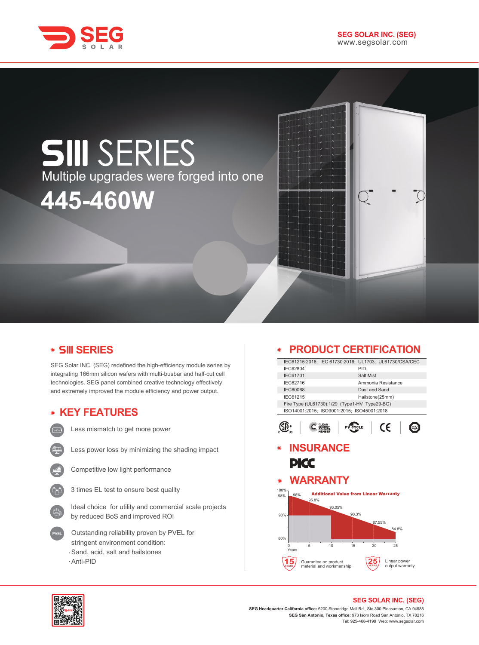

# **SIII** SERIES Multiple upgrades were forged into one **445-460W**

### **SERIES**

SEG Solar INC. (SEG) redefined the high-efficiency module series by integrating 166mm silicon wafers with multi-busbar and half-cut cell technologies. SEG panel combined creative technology effectively and extremely improved the module efficiency and power output.

# **KEY FEATURES**



Less mismatch to get more power



Less power loss by minimizing the shading impact



Competitive low light performance



Ideal choice for utility and commercial scale projects by reduced BoS and improved ROI

- Outstanding reliability proven by PVEL for stringent environment condition: Sand, acid, salt and hailstones
- Anti-PID

### **PRODUCT CERTIFICATION**

|                                           |                  |                                                  | IEC61215:2016; IEC 61730:2016; UL1703; UL61730/CSA/CEC |                    |              |                 |
|-------------------------------------------|------------------|--------------------------------------------------|--------------------------------------------------------|--------------------|--------------|-----------------|
| IEC62804                                  |                  |                                                  |                                                        | PID                |              |                 |
| IEC61701                                  |                  |                                                  |                                                        | Salt Mist          |              |                 |
| IEC62716                                  |                  |                                                  |                                                        | Ammonia Resistance |              |                 |
| <b>IEC60068</b>                           |                  |                                                  |                                                        | Dust and Sand      |              |                 |
| IEC61215                                  |                  |                                                  |                                                        | Hailstone(25mm)    |              |                 |
|                                           |                  |                                                  | Fire Type (UL61730):1/29 (Type1-HV Type29-BG)          |                    |              |                 |
|                                           |                  |                                                  | ISO14001:2015; ISO9001:2015; ISO45001:2018             |                    |              |                 |
|                                           |                  |                                                  | <b>PV CYCLE</b>                                        |                    | CE           |                 |
|                                           | <b>INSURANCE</b> |                                                  |                                                        |                    |              |                 |
|                                           |                  |                                                  |                                                        |                    |              |                 |
|                                           |                  |                                                  |                                                        |                    |              |                 |
|                                           |                  |                                                  |                                                        |                    |              |                 |
|                                           | PKC              |                                                  |                                                        |                    |              |                 |
|                                           |                  |                                                  |                                                        |                    |              |                 |
|                                           | <b>WARRANTY</b>  |                                                  |                                                        |                    |              |                 |
|                                           |                  |                                                  |                                                        |                    |              |                 |
|                                           | 98%              |                                                  | <b>Additional Value from Linear Warranty</b>           |                    |              |                 |
|                                           | 95.8%            |                                                  |                                                        |                    |              |                 |
|                                           |                  | 93.05%                                           | 90.3%                                                  |                    |              |                 |
|                                           |                  |                                                  |                                                        |                    |              |                 |
|                                           |                  |                                                  |                                                        | 87.55%             | 84.8%        |                 |
|                                           |                  |                                                  |                                                        |                    |              |                 |
|                                           |                  |                                                  |                                                        |                    |              |                 |
| 0                                         | 5                | 10                                               | 15                                                     | 20                 | 25           |                 |
| Years                                     |                  |                                                  |                                                        |                    |              |                 |
| ∩<br>$\odot$<br>100%<br>98%<br>90%<br>80% |                  | Guarantee on product<br>material and workmanship |                                                        |                    | Linear power | output warranty |



#### **SEG SOLAR INC. (SEG)**

**SEG Headquarter California office:** 6200 Stoneridge Mall Rd., Ste 300 Pleasanton, CA 94588 **SEG San Antonio, Texas office:** 973 Isom Road San Antonio, TX 78216 Tel: 925-468-4198 Web: www.segsolar.com